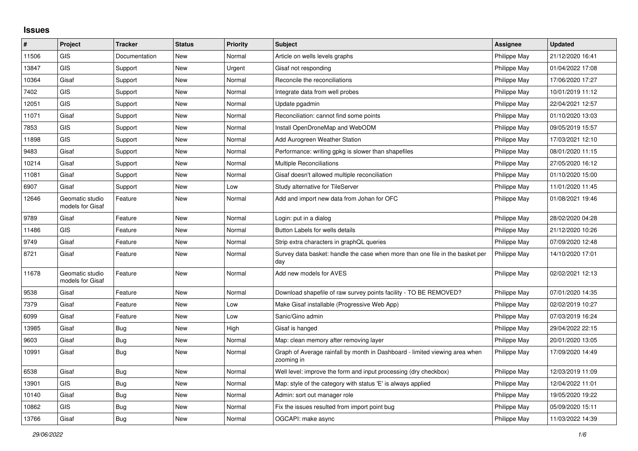## **Issues**

| $\vert$ # | Project                             | <b>Tracker</b> | <b>Status</b> | <b>Priority</b> | <b>Subject</b>                                                                            | Assignee     | <b>Updated</b>   |
|-----------|-------------------------------------|----------------|---------------|-----------------|-------------------------------------------------------------------------------------------|--------------|------------------|
| 11506     | <b>GIS</b>                          | Documentation  | New           | Normal          | Article on wells levels graphs                                                            | Philippe May | 21/12/2020 16:41 |
| 13847     | <b>GIS</b>                          | Support        | New           | Urgent          | Gisaf not responding                                                                      | Philippe May | 01/04/2022 17:08 |
| 10364     | Gisaf                               | Support        | New           | Normal          | Reconcile the reconciliations                                                             | Philippe May | 17/06/2020 17:27 |
| 7402      | <b>GIS</b>                          | Support        | New           | Normal          | Integrate data from well probes                                                           | Philippe May | 10/01/2019 11:12 |
| 12051     | <b>GIS</b>                          | Support        | New           | Normal          | Update pgadmin                                                                            | Philippe May | 22/04/2021 12:57 |
| 11071     | Gisaf                               | Support        | New           | Normal          | Reconciliation: cannot find some points                                                   | Philippe May | 01/10/2020 13:03 |
| 7853      | <b>GIS</b>                          | Support        | New           | Normal          | Install OpenDroneMap and WebODM                                                           | Philippe May | 09/05/2019 15:57 |
| 11898     | <b>GIS</b>                          | Support        | New           | Normal          | Add Aurogreen Weather Station                                                             | Philippe May | 17/03/2021 12:10 |
| 9483      | Gisaf                               | Support        | <b>New</b>    | Normal          | Performance: writing gpkg is slower than shapefiles                                       | Philippe May | 08/01/2020 11:15 |
| 10214     | Gisaf                               | Support        | New           | Normal          | <b>Multiple Reconciliations</b>                                                           | Philippe May | 27/05/2020 16:12 |
| 11081     | Gisaf                               | Support        | <b>New</b>    | Normal          | Gisaf doesn't allowed multiple reconciliation                                             | Philippe May | 01/10/2020 15:00 |
| 6907      | Gisaf                               | Support        | New           | Low             | Study alternative for TileServer                                                          | Philippe May | 11/01/2020 11:45 |
| 12646     | Geomatic studio<br>models for Gisaf | Feature        | New           | Normal          | Add and import new data from Johan for OFC                                                | Philippe May | 01/08/2021 19:46 |
| 9789      | Gisaf                               | Feature        | New           | Normal          | Login: put in a dialog                                                                    | Philippe May | 28/02/2020 04:28 |
| 11486     | <b>GIS</b>                          | Feature        | <b>New</b>    | Normal          | Button Labels for wells details                                                           | Philippe May | 21/12/2020 10:26 |
| 9749      | Gisaf                               | Feature        | New           | Normal          | Strip extra characters in graphQL queries                                                 | Philippe May | 07/09/2020 12:48 |
| 8721      | Gisaf                               | Feature        | New           | Normal          | Survey data basket: handle the case when more than one file in the basket per<br>day      | Philippe May | 14/10/2020 17:01 |
| 11678     | Geomatic studio<br>models for Gisaf | Feature        | <b>New</b>    | Normal          | Add new models for AVES                                                                   | Philippe May | 02/02/2021 12:13 |
| 9538      | Gisaf                               | Feature        | New           | Normal          | Download shapefile of raw survey points facility - TO BE REMOVED?                         | Philippe May | 07/01/2020 14:35 |
| 7379      | Gisaf                               | Feature        | New           | Low             | Make Gisaf installable (Progressive Web App)                                              | Philippe May | 02/02/2019 10:27 |
| 6099      | Gisaf                               | Feature        | New           | Low             | Sanic/Gino admin                                                                          | Philippe May | 07/03/2019 16:24 |
| 13985     | Gisaf                               | Bug            | New           | High            | Gisaf is hanged                                                                           | Philippe May | 29/04/2022 22:15 |
| 9603      | Gisaf                               | Bug            | <b>New</b>    | Normal          | Map: clean memory after removing layer                                                    | Philippe May | 20/01/2020 13:05 |
| 10991     | Gisaf                               | Bug            | New           | Normal          | Graph of Average rainfall by month in Dashboard - limited viewing area when<br>zooming in | Philippe May | 17/09/2020 14:49 |
| 6538      | Gisaf                               | Bug            | New           | Normal          | Well level: improve the form and input processing (dry checkbox)                          | Philippe May | 12/03/2019 11:09 |
| 13901     | <b>GIS</b>                          | <b>Bug</b>     | New           | Normal          | Map: style of the category with status 'E' is always applied                              | Philippe May | 12/04/2022 11:01 |
| 10140     | Gisaf                               | <b>Bug</b>     | <b>New</b>    | Normal          | Admin: sort out manager role                                                              | Philippe May | 19/05/2020 19:22 |
| 10862     | GIS                                 | <b>Bug</b>     | New           | Normal          | Fix the issues resulted from import point bug                                             | Philippe May | 05/09/2020 15:11 |
| 13766     | Gisaf                               | Bug            | <b>New</b>    | Normal          | OGCAPI: make async                                                                        | Philippe May | 11/03/2022 14:39 |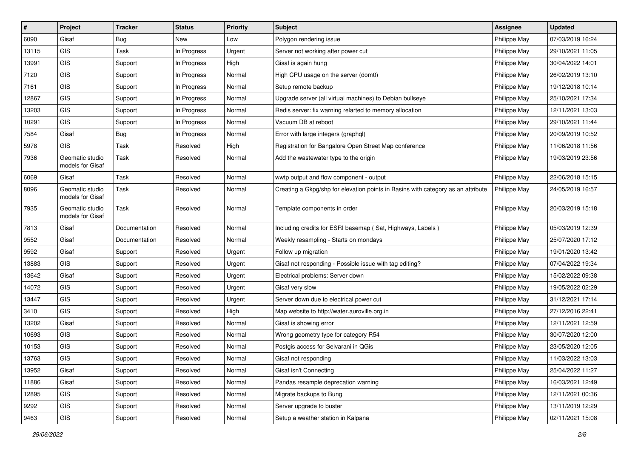| #     | Project                             | <b>Tracker</b> | <b>Status</b> | <b>Priority</b> | <b>Subject</b>                                                                   | <b>Assignee</b> | <b>Updated</b>   |
|-------|-------------------------------------|----------------|---------------|-----------------|----------------------------------------------------------------------------------|-----------------|------------------|
| 6090  | Gisaf                               | <b>Bug</b>     | New           | Low             | Polygon rendering issue                                                          | Philippe May    | 07/03/2019 16:24 |
| 13115 | GIS                                 | Task           | In Progress   | Urgent          | Server not working after power cut                                               | Philippe May    | 29/10/2021 11:05 |
| 13991 | GIS                                 | Support        | In Progress   | High            | Gisaf is again hung                                                              | Philippe May    | 30/04/2022 14:01 |
| 7120  | GIS                                 | Support        | In Progress   | Normal          | High CPU usage on the server (dom0)                                              | Philippe May    | 26/02/2019 13:10 |
| 7161  | GIS                                 | Support        | In Progress   | Normal          | Setup remote backup                                                              | Philippe May    | 19/12/2018 10:14 |
| 12867 | GIS                                 | Support        | In Progress   | Normal          | Upgrade server (all virtual machines) to Debian bullseye                         | Philippe May    | 25/10/2021 17:34 |
| 13203 | <b>GIS</b>                          | Support        | In Progress   | Normal          | Redis server: fix warning relarted to memory allocation                          | Philippe May    | 12/11/2021 13:03 |
| 10291 | GIS                                 | Support        | In Progress   | Normal          | Vacuum DB at reboot                                                              | Philippe May    | 29/10/2021 11:44 |
| 7584  | Gisaf                               | <b>Bug</b>     | In Progress   | Normal          | Error with large integers (graphql)                                              | Philippe May    | 20/09/2019 10:52 |
| 5978  | <b>GIS</b>                          | Task           | Resolved      | High            | Registration for Bangalore Open Street Map conference                            | Philippe May    | 11/06/2018 11:56 |
| 7936  | Geomatic studio<br>models for Gisaf | Task           | Resolved      | Normal          | Add the wastewater type to the origin                                            | Philippe May    | 19/03/2019 23:56 |
| 6069  | Gisaf                               | Task           | Resolved      | Normal          | wwtp output and flow component - output                                          | Philippe May    | 22/06/2018 15:15 |
| 8096  | Geomatic studio<br>models for Gisaf | Task           | Resolved      | Normal          | Creating a Gkpg/shp for elevation points in Basins with category as an attribute | Philippe May    | 24/05/2019 16:57 |
| 7935  | Geomatic studio<br>models for Gisaf | Task           | Resolved      | Normal          | Template components in order                                                     | Philippe May    | 20/03/2019 15:18 |
| 7813  | Gisaf                               | Documentation  | Resolved      | Normal          | Including credits for ESRI basemap (Sat, Highways, Labels)                       | Philippe May    | 05/03/2019 12:39 |
| 9552  | Gisaf                               | Documentation  | Resolved      | Normal          | Weekly resampling - Starts on mondays                                            | Philippe May    | 25/07/2020 17:12 |
| 9592  | Gisaf                               | Support        | Resolved      | Urgent          | Follow up migration                                                              | Philippe May    | 19/01/2020 13:42 |
| 13883 | GIS                                 | Support        | Resolved      | Urgent          | Gisaf not responding - Possible issue with tag editing?                          | Philippe May    | 07/04/2022 19:34 |
| 13642 | Gisaf                               | Support        | Resolved      | Urgent          | Electrical problems: Server down                                                 | Philippe May    | 15/02/2022 09:38 |
| 14072 | <b>GIS</b>                          | Support        | Resolved      | Urgent          | Gisaf very slow                                                                  | Philippe May    | 19/05/2022 02:29 |
| 13447 | GIS                                 | Support        | Resolved      | Urgent          | Server down due to electrical power cut                                          | Philippe May    | 31/12/2021 17:14 |
| 3410  | GIS                                 | Support        | Resolved      | High            | Map website to http://water.auroville.org.in                                     | Philippe May    | 27/12/2016 22:41 |
| 13202 | Gisaf                               | Support        | Resolved      | Normal          | Gisaf is showing error                                                           | Philippe May    | 12/11/2021 12:59 |
| 10693 | GIS                                 | Support        | Resolved      | Normal          | Wrong geometry type for category R54                                             | Philippe May    | 30/07/2020 12:00 |
| 10153 | GIS                                 | Support        | Resolved      | Normal          | Postgis access for Selvarani in QGis                                             | Philippe May    | 23/05/2020 12:05 |
| 13763 | GIS                                 | Support        | Resolved      | Normal          | Gisaf not responding                                                             | Philippe May    | 11/03/2022 13:03 |
| 13952 | Gisaf                               | Support        | Resolved      | Normal          | Gisaf isn't Connecting                                                           | Philippe May    | 25/04/2022 11:27 |
| 11886 | Gisaf                               | Support        | Resolved      | Normal          | Pandas resample deprecation warning                                              | Philippe May    | 16/03/2021 12:49 |
| 12895 | GIS                                 | Support        | Resolved      | Normal          | Migrate backups to Bung                                                          | Philippe May    | 12/11/2021 00:36 |
| 9292  | GIS                                 | Support        | Resolved      | Normal          | Server upgrade to buster                                                         | Philippe May    | 13/11/2019 12:29 |
| 9463  | GIS                                 | Support        | Resolved      | Normal          | Setup a weather station in Kalpana                                               | Philippe May    | 02/11/2021 15:08 |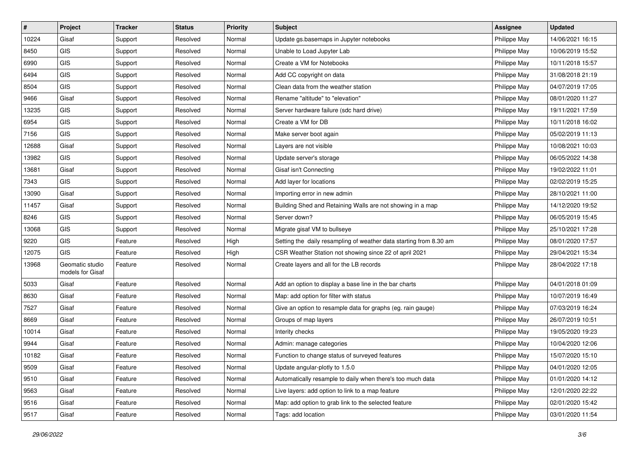| #     | Project                             | <b>Tracker</b> | <b>Status</b> | <b>Priority</b> | <b>Subject</b>                                                     | <b>Assignee</b> | <b>Updated</b>   |
|-------|-------------------------------------|----------------|---------------|-----------------|--------------------------------------------------------------------|-----------------|------------------|
| 10224 | Gisaf                               | Support        | Resolved      | Normal          | Update gs.basemaps in Jupyter notebooks                            | Philippe May    | 14/06/2021 16:15 |
| 8450  | <b>GIS</b>                          | Support        | Resolved      | Normal          | Unable to Load Jupyter Lab                                         | Philippe May    | 10/06/2019 15:52 |
| 6990  | <b>GIS</b>                          | Support        | Resolved      | Normal          | Create a VM for Notebooks                                          | Philippe May    | 10/11/2018 15:57 |
| 6494  | GIS                                 | Support        | Resolved      | Normal          | Add CC copyright on data                                           | Philippe May    | 31/08/2018 21:19 |
| 8504  | GIS                                 | Support        | Resolved      | Normal          | Clean data from the weather station                                | Philippe May    | 04/07/2019 17:05 |
| 9466  | Gisaf                               | Support        | Resolved      | Normal          | Rename "altitude" to "elevation"                                   | Philippe May    | 08/01/2020 11:27 |
| 13235 | GIS                                 | Support        | Resolved      | Normal          | Server hardware failure (sdc hard drive)                           | Philippe May    | 19/11/2021 17:59 |
| 6954  | GIS                                 | Support        | Resolved      | Normal          | Create a VM for DB                                                 | Philippe May    | 10/11/2018 16:02 |
| 7156  | GIS                                 | Support        | Resolved      | Normal          | Make server boot again                                             | Philippe May    | 05/02/2019 11:13 |
| 12688 | Gisaf                               | Support        | Resolved      | Normal          | Layers are not visible                                             | Philippe May    | 10/08/2021 10:03 |
| 13982 | GIS                                 | Support        | Resolved      | Normal          | Update server's storage                                            | Philippe May    | 06/05/2022 14:38 |
| 13681 | Gisaf                               | Support        | Resolved      | Normal          | Gisaf isn't Connecting                                             | Philippe May    | 19/02/2022 11:01 |
| 7343  | GIS                                 | Support        | Resolved      | Normal          | Add layer for locations                                            | Philippe May    | 02/02/2019 15:25 |
| 13090 | Gisaf                               | Support        | Resolved      | Normal          | Importing error in new admin                                       | Philippe May    | 28/10/2021 11:00 |
| 11457 | Gisaf                               | Support        | Resolved      | Normal          | Building Shed and Retaining Walls are not showing in a map         | Philippe May    | 14/12/2020 19:52 |
| 8246  | <b>GIS</b>                          | Support        | Resolved      | Normal          | Server down?                                                       | Philippe May    | 06/05/2019 15:45 |
| 13068 | GIS                                 | Support        | Resolved      | Normal          | Migrate gisaf VM to bullseye                                       | Philippe May    | 25/10/2021 17:28 |
| 9220  | GIS                                 | Feature        | Resolved      | High            | Setting the daily resampling of weather data starting from 8.30 am | Philippe May    | 08/01/2020 17:57 |
| 12075 | <b>GIS</b>                          | Feature        | Resolved      | High            | CSR Weather Station not showing since 22 of april 2021             | Philippe May    | 29/04/2021 15:34 |
| 13968 | Geomatic studio<br>models for Gisaf | Feature        | Resolved      | Normal          | Create layers and all for the LB records                           | Philippe May    | 28/04/2022 17:18 |
| 5033  | Gisaf                               | Feature        | Resolved      | Normal          | Add an option to display a base line in the bar charts             | Philippe May    | 04/01/2018 01:09 |
| 8630  | Gisaf                               | Feature        | Resolved      | Normal          | Map: add option for filter with status                             | Philippe May    | 10/07/2019 16:49 |
| 7527  | Gisaf                               | Feature        | Resolved      | Normal          | Give an option to resample data for graphs (eg. rain gauge)        | Philippe May    | 07/03/2019 16:24 |
| 8669  | Gisaf                               | Feature        | Resolved      | Normal          | Groups of map layers                                               | Philippe May    | 26/07/2019 10:51 |
| 10014 | Gisaf                               | Feature        | Resolved      | Normal          | Interity checks                                                    | Philippe May    | 19/05/2020 19:23 |
| 9944  | Gisaf                               | Feature        | Resolved      | Normal          | Admin: manage categories                                           | Philippe May    | 10/04/2020 12:06 |
| 10182 | Gisaf                               | Feature        | Resolved      | Normal          | Function to change status of surveyed features                     | Philippe May    | 15/07/2020 15:10 |
| 9509  | Gisaf                               | Feature        | Resolved      | Normal          | Update angular-plotly to 1.5.0                                     | Philippe May    | 04/01/2020 12:05 |
| 9510  | Gisaf                               | Feature        | Resolved      | Normal          | Automatically resample to daily when there's too much data         | Philippe May    | 01/01/2020 14:12 |
| 9563  | Gisaf                               | Feature        | Resolved      | Normal          | Live layers: add option to link to a map feature                   | Philippe May    | 12/01/2020 22:22 |
| 9516  | Gisaf                               | Feature        | Resolved      | Normal          | Map: add option to grab link to the selected feature               | Philippe May    | 02/01/2020 15:42 |
| 9517  | Gisaf                               | Feature        | Resolved      | Normal          | Tags: add location                                                 | Philippe May    | 03/01/2020 11:54 |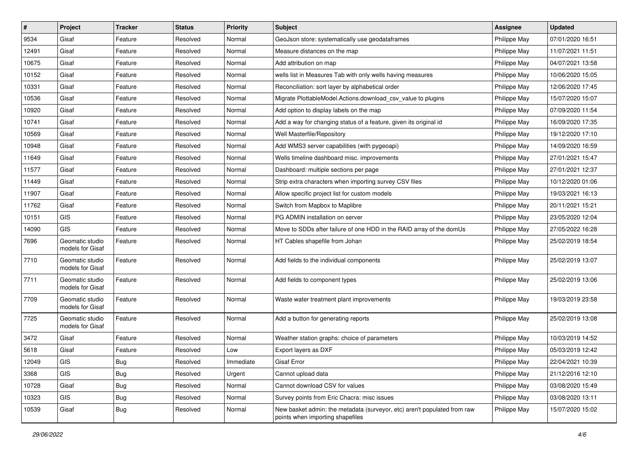| $\vert$ # | Project                             | <b>Tracker</b> | <b>Status</b> | Priority  | Subject                                                                                                      | <b>Assignee</b>     | <b>Updated</b>   |
|-----------|-------------------------------------|----------------|---------------|-----------|--------------------------------------------------------------------------------------------------------------|---------------------|------------------|
| 9534      | Gisaf                               | Feature        | Resolved      | Normal    | GeoJson store: systematically use geodataframes                                                              | Philippe May        | 07/01/2020 16:51 |
| 12491     | Gisaf                               | Feature        | Resolved      | Normal    | Measure distances on the map                                                                                 | Philippe May        | 11/07/2021 11:51 |
| 10675     | Gisaf                               | Feature        | Resolved      | Normal    | Add attribution on map                                                                                       | Philippe May        | 04/07/2021 13:58 |
| 10152     | Gisaf                               | Feature        | Resolved      | Normal    | wells list in Measures Tab with only wells having measures                                                   | Philippe May        | 10/06/2020 15:05 |
| 10331     | Gisaf                               | Feature        | Resolved      | Normal    | Reconciliation: sort layer by alphabetical order                                                             | Philippe May        | 12/06/2020 17:45 |
| 10536     | Gisaf                               | Feature        | Resolved      | Normal    | Migrate PlottableModel.Actions.download csv value to plugins                                                 | Philippe May        | 15/07/2020 15:07 |
| 10920     | Gisaf                               | Feature        | Resolved      | Normal    | Add option to display labels on the map                                                                      | Philippe May        | 07/09/2020 11:54 |
| 10741     | Gisaf                               | Feature        | Resolved      | Normal    | Add a way for changing status of a feature, given its original id                                            | Philippe May        | 16/09/2020 17:35 |
| 10569     | Gisaf                               | Feature        | Resolved      | Normal    | Well Masterfile/Repository                                                                                   | Philippe May        | 19/12/2020 17:10 |
| 10948     | Gisaf                               | Feature        | Resolved      | Normal    | Add WMS3 server capabilities (with pygeoapi)                                                                 | Philippe May        | 14/09/2020 16:59 |
| 11649     | Gisaf                               | Feature        | Resolved      | Normal    | Wells timeline dashboard misc. improvements                                                                  | Philippe May        | 27/01/2021 15:47 |
| 11577     | Gisaf                               | Feature        | Resolved      | Normal    | Dashboard: multiple sections per page                                                                        | Philippe May        | 27/01/2021 12:37 |
| 11449     | Gisaf                               | Feature        | Resolved      | Normal    | Strip extra characters when importing survey CSV files                                                       | Philippe May        | 10/12/2020 01:06 |
| 11907     | Gisaf                               | Feature        | Resolved      | Normal    | Allow specific project list for custom models                                                                | Philippe May        | 19/03/2021 16:13 |
| 11762     | Gisaf                               | Feature        | Resolved      | Normal    | Switch from Mapbox to Maplibre                                                                               | Philippe May        | 20/11/2021 15:21 |
| 10151     | GIS                                 | Feature        | Resolved      | Normal    | PG ADMIN installation on server                                                                              | Philippe May        | 23/05/2020 12:04 |
| 14090     | GIS                                 | Feature        | Resolved      | Normal    | Move to SDDs after failure of one HDD in the RAID array of the domUs                                         | Philippe May        | 27/05/2022 16:28 |
| 7696      | Geomatic studio<br>models for Gisaf | Feature        | Resolved      | Normal    | HT Cables shapefile from Johan                                                                               | Philippe May        | 25/02/2019 18:54 |
| 7710      | Geomatic studio<br>models for Gisaf | Feature        | Resolved      | Normal    | Add fields to the individual components                                                                      | Philippe May        | 25/02/2019 13:07 |
| 7711      | Geomatic studio<br>models for Gisaf | Feature        | Resolved      | Normal    | Add fields to component types                                                                                | Philippe May        | 25/02/2019 13:06 |
| 7709      | Geomatic studio<br>models for Gisaf | Feature        | Resolved      | Normal    | Waste water treatment plant improvements                                                                     | <b>Philippe May</b> | 19/03/2019 23:58 |
| 7725      | Geomatic studio<br>models for Gisaf | Feature        | Resolved      | Normal    | Add a button for generating reports                                                                          | Philippe May        | 25/02/2019 13:08 |
| 3472      | Gisaf                               | Feature        | Resolved      | Normal    | Weather station graphs: choice of parameters                                                                 | Philippe May        | 10/03/2019 14:52 |
| 5618      | Gisaf                               | Feature        | Resolved      | Low       | Export layers as DXF                                                                                         | Philippe May        | 05/03/2019 12:42 |
| 12049     | GIS.                                | Bug            | Resolved      | Immediate | Gisaf Error                                                                                                  | Philippe May        | 22/04/2021 10:39 |
| 3368      | GIS                                 | <b>Bug</b>     | Resolved      | Urgent    | Cannot upload data                                                                                           | Philippe May        | 21/12/2016 12:10 |
| 10728     | Gisaf                               | <b>Bug</b>     | Resolved      | Normal    | Cannot download CSV for values                                                                               | Philippe May        | 03/08/2020 15:49 |
| 10323     | GIS                                 | <b>Bug</b>     | Resolved      | Normal    | Survey points from Eric Chacra: misc issues                                                                  | Philippe May        | 03/08/2020 13:11 |
| 10539     | Gisaf                               | <b>Bug</b>     | Resolved      | Normal    | New basket admin: the metadata (surveyor, etc) aren't populated from raw<br>points when importing shapefiles | Philippe May        | 15/07/2020 15:02 |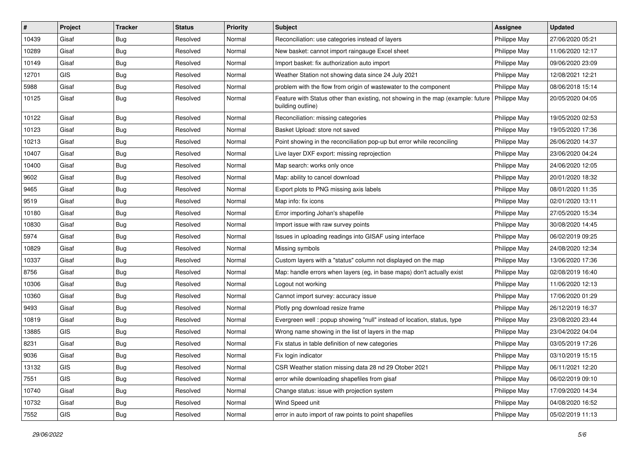| #     | Project    | <b>Tracker</b> | <b>Status</b> | Priority | <b>Subject</b>                                                                                        | Assignee     | <b>Updated</b>   |
|-------|------------|----------------|---------------|----------|-------------------------------------------------------------------------------------------------------|--------------|------------------|
| 10439 | Gisaf      | <b>Bug</b>     | Resolved      | Normal   | Reconciliation: use categories instead of layers                                                      | Philippe May | 27/06/2020 05:21 |
| 10289 | Gisaf      | <b>Bug</b>     | Resolved      | Normal   | New basket: cannot import raingauge Excel sheet                                                       | Philippe May | 11/06/2020 12:17 |
| 10149 | Gisaf      | <b>Bug</b>     | Resolved      | Normal   | Import basket: fix authorization auto import                                                          | Philippe May | 09/06/2020 23:09 |
| 12701 | GIS        | Bug            | Resolved      | Normal   | Weather Station not showing data since 24 July 2021                                                   | Philippe May | 12/08/2021 12:21 |
| 5988  | Gisaf      | <b>Bug</b>     | Resolved      | Normal   | problem with the flow from origin of wastewater to the component                                      | Philippe May | 08/06/2018 15:14 |
| 10125 | Gisaf      | Bug            | Resolved      | Normal   | Feature with Status other than existing, not showing in the map (example: future<br>building outline) | Philippe May | 20/05/2020 04:05 |
| 10122 | Gisaf      | <b>Bug</b>     | Resolved      | Normal   | Reconciliation: missing categories                                                                    | Philippe May | 19/05/2020 02:53 |
| 10123 | Gisaf      | <b>Bug</b>     | Resolved      | Normal   | Basket Upload: store not saved                                                                        | Philippe May | 19/05/2020 17:36 |
| 10213 | Gisaf      | <b>Bug</b>     | Resolved      | Normal   | Point showing in the reconciliation pop-up but error while reconciling                                | Philippe May | 26/06/2020 14:37 |
| 10407 | Gisaf      | <b>Bug</b>     | Resolved      | Normal   | Live layer DXF export: missing reprojection                                                           | Philippe May | 23/06/2020 04:24 |
| 10400 | Gisaf      | <b>Bug</b>     | Resolved      | Normal   | Map search: works only once                                                                           | Philippe May | 24/06/2020 12:05 |
| 9602  | Gisaf      | <b>Bug</b>     | Resolved      | Normal   | Map: ability to cancel download                                                                       | Philippe May | 20/01/2020 18:32 |
| 9465  | Gisaf      | Bug            | Resolved      | Normal   | Export plots to PNG missing axis labels                                                               | Philippe May | 08/01/2020 11:35 |
| 9519  | Gisaf      | <b>Bug</b>     | Resolved      | Normal   | Map info: fix icons                                                                                   | Philippe May | 02/01/2020 13:11 |
| 10180 | Gisaf      | <b>Bug</b>     | Resolved      | Normal   | Error importing Johan's shapefile                                                                     | Philippe May | 27/05/2020 15:34 |
| 10830 | Gisaf      | <b>Bug</b>     | Resolved      | Normal   | Import issue with raw survey points                                                                   | Philippe May | 30/08/2020 14:45 |
| 5974  | Gisaf      | <b>Bug</b>     | Resolved      | Normal   | Issues in uploading readings into GISAF using interface                                               | Philippe May | 06/02/2019 09:25 |
| 10829 | Gisaf      | Bug            | Resolved      | Normal   | Missing symbols                                                                                       | Philippe May | 24/08/2020 12:34 |
| 10337 | Gisaf      | <b>Bug</b>     | Resolved      | Normal   | Custom layers with a "status" column not displayed on the map                                         | Philippe May | 13/06/2020 17:36 |
| 8756  | Gisaf      | <b>Bug</b>     | Resolved      | Normal   | Map: handle errors when layers (eg, in base maps) don't actually exist                                | Philippe May | 02/08/2019 16:40 |
| 10306 | Gisaf      | <b>Bug</b>     | Resolved      | Normal   | Logout not working                                                                                    | Philippe May | 11/06/2020 12:13 |
| 10360 | Gisaf      | <b>Bug</b>     | Resolved      | Normal   | Cannot import survey: accuracy issue                                                                  | Philippe May | 17/06/2020 01:29 |
| 9493  | Gisaf      | <b>Bug</b>     | Resolved      | Normal   | Plotly png download resize frame                                                                      | Philippe May | 26/12/2019 16:37 |
| 10819 | Gisaf      | <b>Bug</b>     | Resolved      | Normal   | Evergreen well: popup showing "null" instead of location, status, type                                | Philippe May | 23/08/2020 23:44 |
| 13885 | <b>GIS</b> | <b>Bug</b>     | Resolved      | Normal   | Wrong name showing in the list of layers in the map                                                   | Philippe May | 23/04/2022 04:04 |
| 8231  | Gisaf      | Bug            | Resolved      | Normal   | Fix status in table definition of new categories                                                      | Philippe May | 03/05/2019 17:26 |
| 9036  | Gisaf      | <b>Bug</b>     | Resolved      | Normal   | Fix login indicator                                                                                   | Philippe May | 03/10/2019 15:15 |
| 13132 | GIS        | Bug            | Resolved      | Normal   | CSR Weather station missing data 28 nd 29 Otober 2021                                                 | Philippe May | 06/11/2021 12:20 |
| 7551  | GIS        | <b>Bug</b>     | Resolved      | Normal   | error while downloading shapefiles from gisaf                                                         | Philippe May | 06/02/2019 09:10 |
| 10740 | Gisaf      | <b>Bug</b>     | Resolved      | Normal   | Change status: issue with projection system                                                           | Philippe May | 17/09/2020 14:34 |
| 10732 | Gisaf      | <b>Bug</b>     | Resolved      | Normal   | Wind Speed unit                                                                                       | Philippe May | 04/08/2020 16:52 |
| 7552  | GIS        | <b>Bug</b>     | Resolved      | Normal   | error in auto import of raw points to point shapefiles                                                | Philippe May | 05/02/2019 11:13 |